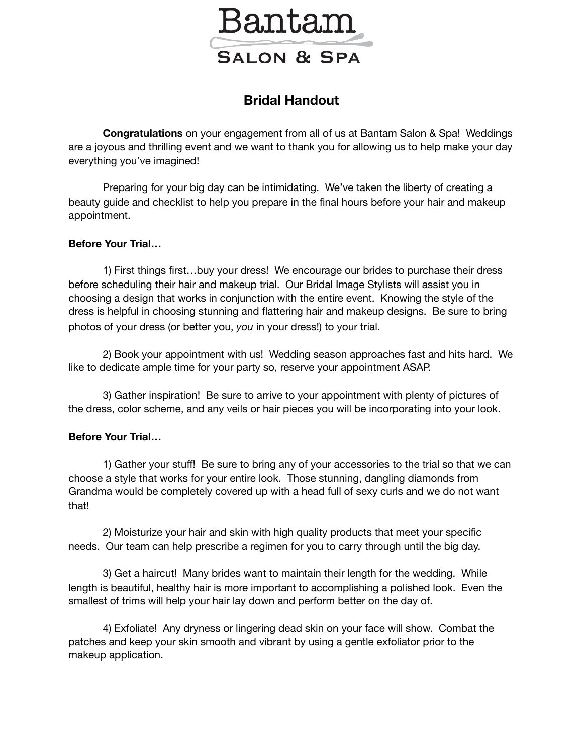

## **Bridal Handout**

**Congratulations** on your engagement from all of us at Bantam Salon & Spa! Weddings are a joyous and thrilling event and we want to thank you for allowing us to help make your day everything you've imagined!

Preparing for your big day can be intimidating. We've taken the liberty of creating a beauty guide and checklist to help you prepare in the final hours before your hair and makeup appointment.

## **Before Your Trial…**

1) First things first…buy your dress! We encourage our brides to purchase their dress before scheduling their hair and makeup trial. Our Bridal Image Stylists will assist you in choosing a design that works in conjunction with the entire event. Knowing the style of the dress is helpful in choosing stunning and flattering hair and makeup designs. Be sure to bring photos of your dress (or better you, *you* in your dress!) to your trial.

2) Book your appointment with us! Wedding season approaches fast and hits hard. We like to dedicate ample time for your party so, reserve your appointment ASAP.

3) Gather inspiration! Be sure to arrive to your appointment with plenty of pictures of the dress, color scheme, and any veils or hair pieces you will be incorporating into your look.

## **Before Your Trial…**

1) Gather your stuff! Be sure to bring any of your accessories to the trial so that we can choose a style that works for your entire look. Those stunning, dangling diamonds from Grandma would be completely covered up with a head full of sexy curls and we do not want that!

2) Moisturize your hair and skin with high quality products that meet your specific needs. Our team can help prescribe a regimen for you to carry through until the big day.

3) Get a haircut! Many brides want to maintain their length for the wedding. While length is beautiful, healthy hair is more important to accomplishing a polished look. Even the smallest of trims will help your hair lay down and perform better on the day of.

4) Exfoliate! Any dryness or lingering dead skin on your face will show. Combat the patches and keep your skin smooth and vibrant by using a gentle exfoliator prior to the makeup application.